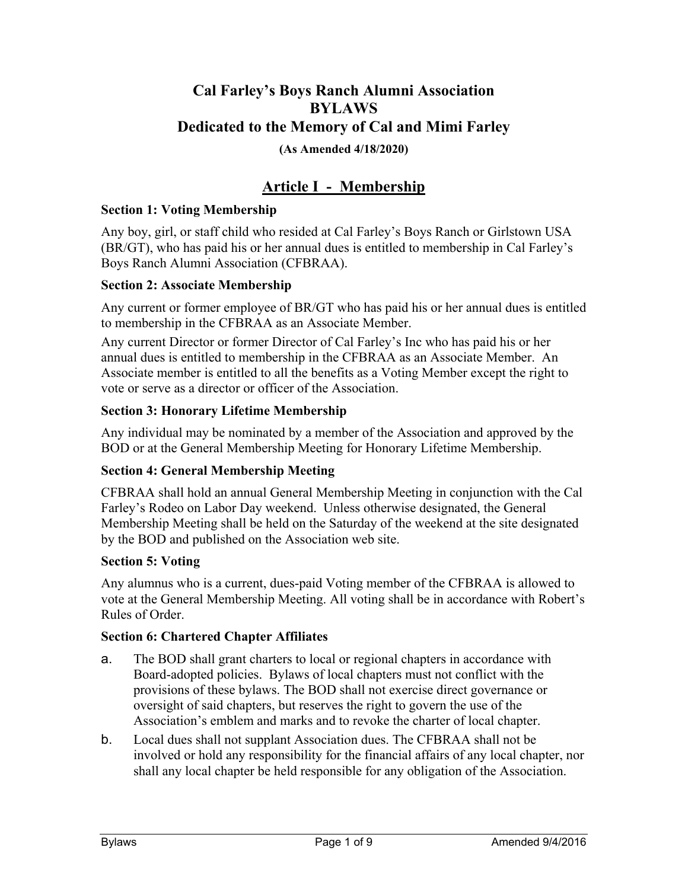# **Cal Farley's Boys Ranch Alumni Association BYLAWS Dedicated to the Memory of Cal and Mimi Farley (As Amended 4/18/2020)**

# **Article I - Membership**

## **Section 1: Voting Membership**

Any boy, girl, or staff child who resided at Cal Farley's Boys Ranch or Girlstown USA (BR/GT), who has paid his or her annual dues is entitled to membership in Cal Farley's Boys Ranch Alumni Association (CFBRAA).

### **Section 2: Associate Membership**

Any current or former employee of BR/GT who has paid his or her annual dues is entitled to membership in the CFBRAA as an Associate Member.

Any current Director or former Director of Cal Farley's Inc who has paid his or her annual dues is entitled to membership in the CFBRAA as an Associate Member. An Associate member is entitled to all the benefits as a Voting Member except the right to vote or serve as a director or officer of the Association.

## **Section 3: Honorary Lifetime Membership**

Any individual may be nominated by a member of the Association and approved by the BOD or at the General Membership Meeting for Honorary Lifetime Membership.

## **Section 4: General Membership Meeting**

CFBRAA shall hold an annual General Membership Meeting in conjunction with the Cal Farley's Rodeo on Labor Day weekend. Unless otherwise designated, the General Membership Meeting shall be held on the Saturday of the weekend at the site designated by the BOD and published on the Association web site.

### **Section 5: Voting**

Any alumnus who is a current, dues-paid Voting member of the CFBRAA is allowed to vote at the General Membership Meeting. All voting shall be in accordance with Robert's Rules of Order.

### **Section 6: Chartered Chapter Affiliates**

- a. The BOD shall grant charters to local or regional chapters in accordance with Board-adopted policies. Bylaws of local chapters must not conflict with the provisions of these bylaws. The BOD shall not exercise direct governance or oversight of said chapters, but reserves the right to govern the use of the Association's emblem and marks and to revoke the charter of local chapter.
- b. Local dues shall not supplant Association dues. The CFBRAA shall not be involved or hold any responsibility for the financial affairs of any local chapter, nor shall any local chapter be held responsible for any obligation of the Association.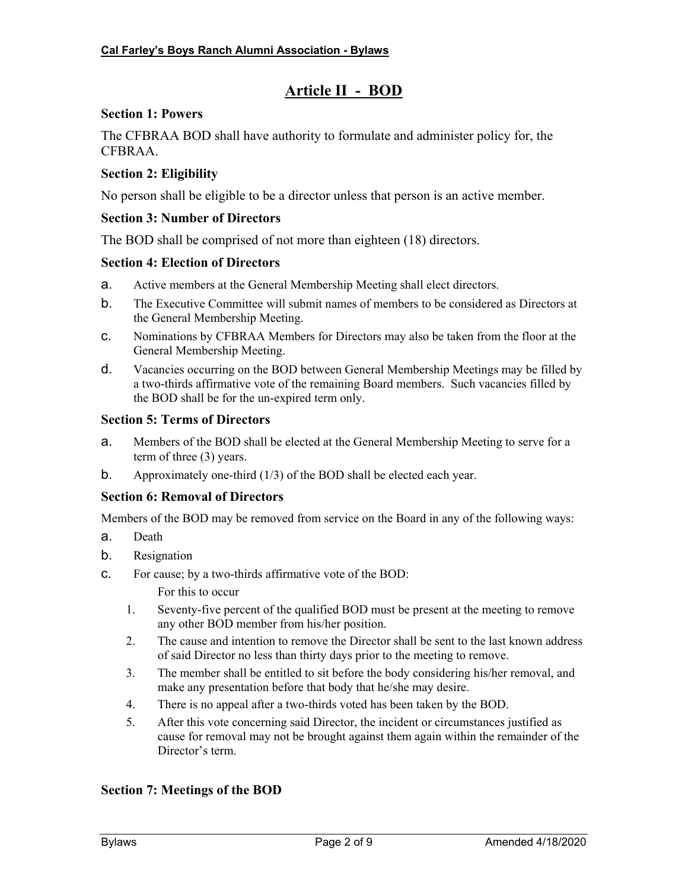## **Article II - BOD**

#### **Section 1: Powers**

The CFBRAA BOD shall have authority to formulate and administer policy for, the CFBRAA.

#### **Section 2: Eligibility**

No person shall be eligible to be a director unless that person is an active member.

#### **Section 3: Number of Directors**

The BOD shall be comprised of not more than eighteen (18) directors.

#### **Section 4: Election of Directors**

- a. Active members at the General Membership Meeting shall elect directors.
- b. The Executive Committee will submit names of members to be considered as Directors at the General Membership Meeting.
- c. Nominations by CFBRAA Members for Directors may also be taken from the floor at the General Membership Meeting.
- d. Vacancies occurring on the BOD between General Membership Meetings may be filled by a two-thirds affirmative vote of the remaining Board members. Such vacancies filled by the BOD shall be for the un-expired term only.

#### **Section 5: Terms of Directors**

- a. Members of the BOD shall be elected at the General Membership Meeting to serve for a term of three (3) years.
- b. Approximately one-third (1/3) of the BOD shall be elected each year.

### **Section 6: Removal of Directors**

Members of the BOD may be removed from service on the Board in any of the following ways:

- a. Death
- b. Resignation
- c. For cause; by a two-thirds affirmative vote of the BOD:

For this to occur

- 1. Seventy-five percent of the qualified BOD must be present at the meeting to remove any other BOD member from his/her position.
- 2. The cause and intention to remove the Director shall be sent to the last known address of said Director no less than thirty days prior to the meeting to remove.
- 3. The member shall be entitled to sit before the body considering his/her removal, and make any presentation before that body that he/she may desire.
- 4. There is no appeal after a two-thirds voted has been taken by the BOD.
- 5. After this vote concerning said Director, the incident or circumstances justified as cause for removal may not be brought against them again within the remainder of the Director's term.

### **Section 7: Meetings of the BOD**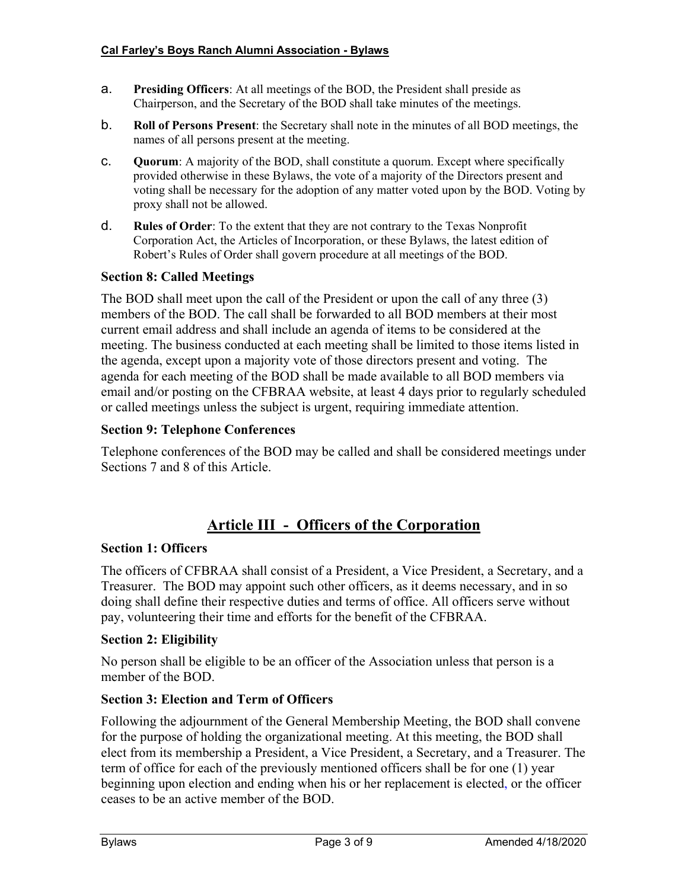- a. **Presiding Officers**: At all meetings of the BOD, the President shall preside as Chairperson, and the Secretary of the BOD shall take minutes of the meetings.
- b. **Roll of Persons Present**: the Secretary shall note in the minutes of all BOD meetings, the names of all persons present at the meeting.
- c. **Quorum**: A majority of the BOD, shall constitute a quorum. Except where specifically provided otherwise in these Bylaws, the vote of a majority of the Directors present and voting shall be necessary for the adoption of any matter voted upon by the BOD. Voting by proxy shall not be allowed.
- d. **Rules of Order**: To the extent that they are not contrary to the Texas Nonprofit Corporation Act, the Articles of Incorporation, or these Bylaws, the latest edition of Robert's Rules of Order shall govern procedure at all meetings of the BOD.

### **Section 8: Called Meetings**

The BOD shall meet upon the call of the President or upon the call of any three (3) members of the BOD. The call shall be forwarded to all BOD members at their most current email address and shall include an agenda of items to be considered at the meeting. The business conducted at each meeting shall be limited to those items listed in the agenda, except upon a majority vote of those directors present and voting. The agenda for each meeting of the BOD shall be made available to all BOD members via email and/or posting on the CFBRAA website, at least 4 days prior to regularly scheduled or called meetings unless the subject is urgent, requiring immediate attention.

### **Section 9: Telephone Conferences**

Telephone conferences of the BOD may be called and shall be considered meetings under Sections 7 and 8 of this Article.

## **Article III - Officers of the Corporation**

### **Section 1: Officers**

The officers of CFBRAA shall consist of a President, a Vice President, a Secretary, and a Treasurer. The BOD may appoint such other officers, as it deems necessary, and in so doing shall define their respective duties and terms of office. All officers serve without pay, volunteering their time and efforts for the benefit of the CFBRAA.

### **Section 2: Eligibility**

No person shall be eligible to be an officer of the Association unless that person is a member of the BOD.

### **Section 3: Election and Term of Officers**

Following the adjournment of the General Membership Meeting, the BOD shall convene for the purpose of holding the organizational meeting. At this meeting, the BOD shall elect from its membership a President, a Vice President, a Secretary, and a Treasurer. The term of office for each of the previously mentioned officers shall be for one (1) year beginning upon election and ending when his or her replacement is elected, or the officer ceases to be an active member of the BOD.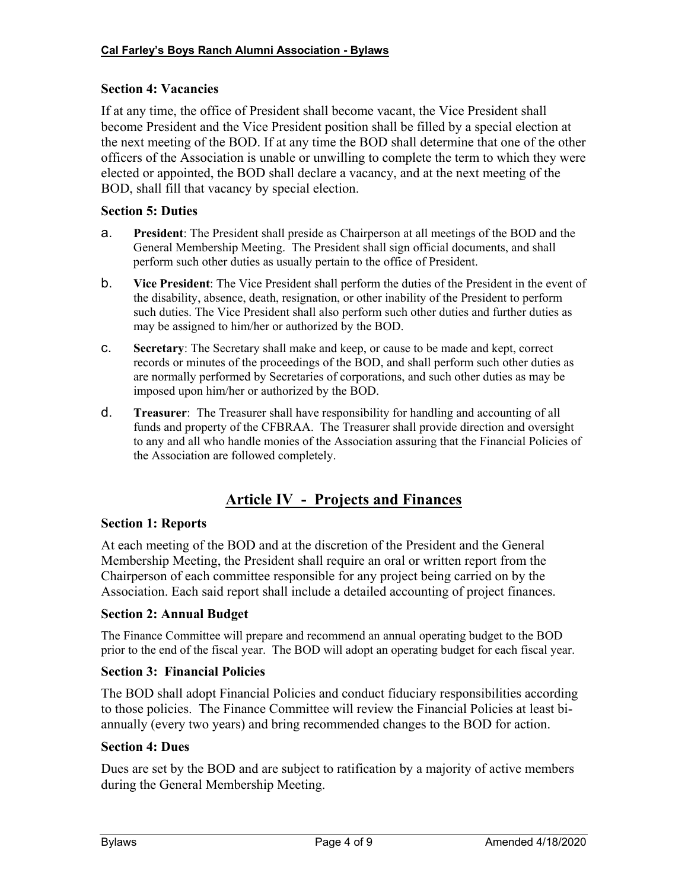## **Section 4: Vacancies**

If at any time, the office of President shall become vacant, the Vice President shall become President and the Vice President position shall be filled by a special election at the next meeting of the BOD. If at any time the BOD shall determine that one of the other officers of the Association is unable or unwilling to complete the term to which they were elected or appointed, the BOD shall declare a vacancy, and at the next meeting of the BOD, shall fill that vacancy by special election.

## **Section 5: Duties**

- a. **President**: The President shall preside as Chairperson at all meetings of the BOD and the General Membership Meeting. The President shall sign official documents, and shall perform such other duties as usually pertain to the office of President.
- b. **Vice President**: The Vice President shall perform the duties of the President in the event of the disability, absence, death, resignation, or other inability of the President to perform such duties. The Vice President shall also perform such other duties and further duties as may be assigned to him/her or authorized by the BOD.
- c. **Secretary**: The Secretary shall make and keep, or cause to be made and kept, correct records or minutes of the proceedings of the BOD, and shall perform such other duties as are normally performed by Secretaries of corporations, and such other duties as may be imposed upon him/her or authorized by the BOD.
- d. **Treasurer**: The Treasurer shall have responsibility for handling and accounting of all funds and property of the CFBRAA. The Treasurer shall provide direction and oversight to any and all who handle monies of the Association assuring that the Financial Policies of the Association are followed completely.

# **Article IV - Projects and Finances**

## **Section 1: Reports**

At each meeting of the BOD and at the discretion of the President and the General Membership Meeting, the President shall require an oral or written report from the Chairperson of each committee responsible for any project being carried on by the Association. Each said report shall include a detailed accounting of project finances.

## **Section 2: Annual Budget**

The Finance Committee will prepare and recommend an annual operating budget to the BOD prior to the end of the fiscal year. The BOD will adopt an operating budget for each fiscal year.

### **Section 3: Financial Policies**

The BOD shall adopt Financial Policies and conduct fiduciary responsibilities according to those policies. The Finance Committee will review the Financial Policies at least biannually (every two years) and bring recommended changes to the BOD for action.

### **Section 4: Dues**

Dues are set by the BOD and are subject to ratification by a majority of active members during the General Membership Meeting.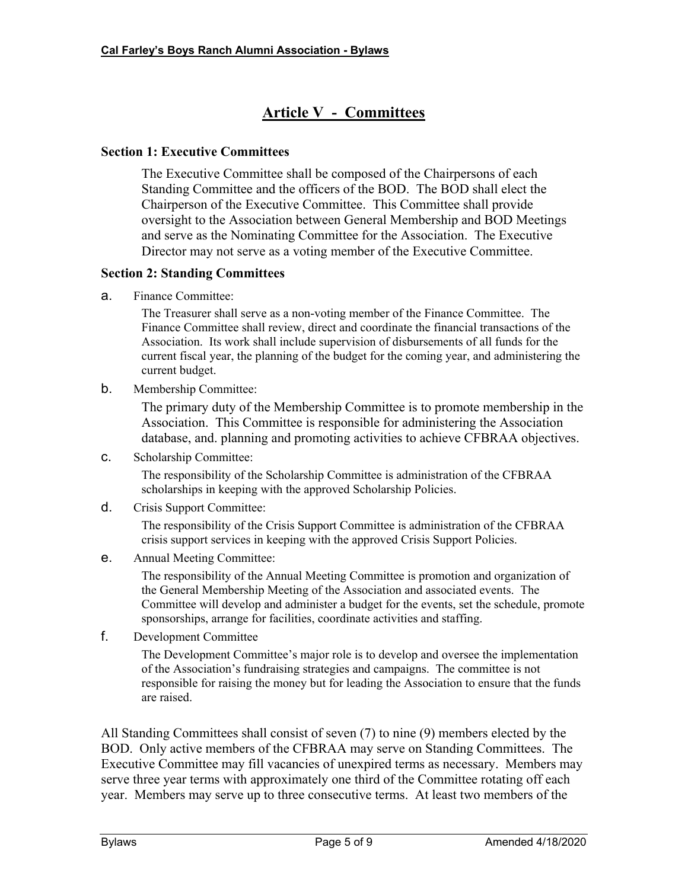# **Article V - Committees**

### **Section 1: Executive Committees**

The Executive Committee shall be composed of the Chairpersons of each Standing Committee and the officers of the BOD. The BOD shall elect the Chairperson of the Executive Committee. This Committee shall provide oversight to the Association between General Membership and BOD Meetings and serve as the Nominating Committee for the Association. The Executive Director may not serve as a voting member of the Executive Committee.

### **Section 2: Standing Committees**

a. Finance Committee:

The Treasurer shall serve as a non-voting member of the Finance Committee. The Finance Committee shall review, direct and coordinate the financial transactions of the Association. Its work shall include supervision of disbursements of all funds for the current fiscal year, the planning of the budget for the coming year, and administering the current budget.

b. Membership Committee:

The primary duty of the Membership Committee is to promote membership in the Association. This Committee is responsible for administering the Association database, and. planning and promoting activities to achieve CFBRAA objectives.

c. Scholarship Committee:

The responsibility of the Scholarship Committee is administration of the CFBRAA scholarships in keeping with the approved Scholarship Policies.

d. Crisis Support Committee:

The responsibility of the Crisis Support Committee is administration of the CFBRAA crisis support services in keeping with the approved Crisis Support Policies.

e. Annual Meeting Committee:

The responsibility of the Annual Meeting Committee is promotion and organization of the General Membership Meeting of the Association and associated events. The Committee will develop and administer a budget for the events, set the schedule, promote sponsorships, arrange for facilities, coordinate activities and staffing.

f. Development Committee

The Development Committee's major role is to develop and oversee the implementation of the Association's fundraising strategies and campaigns. The committee is not responsible for raising the money but for leading the Association to ensure that the funds are raised.

All Standing Committees shall consist of seven (7) to nine (9) members elected by the BOD. Only active members of the CFBRAA may serve on Standing Committees. The Executive Committee may fill vacancies of unexpired terms as necessary. Members may serve three year terms with approximately one third of the Committee rotating off each year. Members may serve up to three consecutive terms. At least two members of the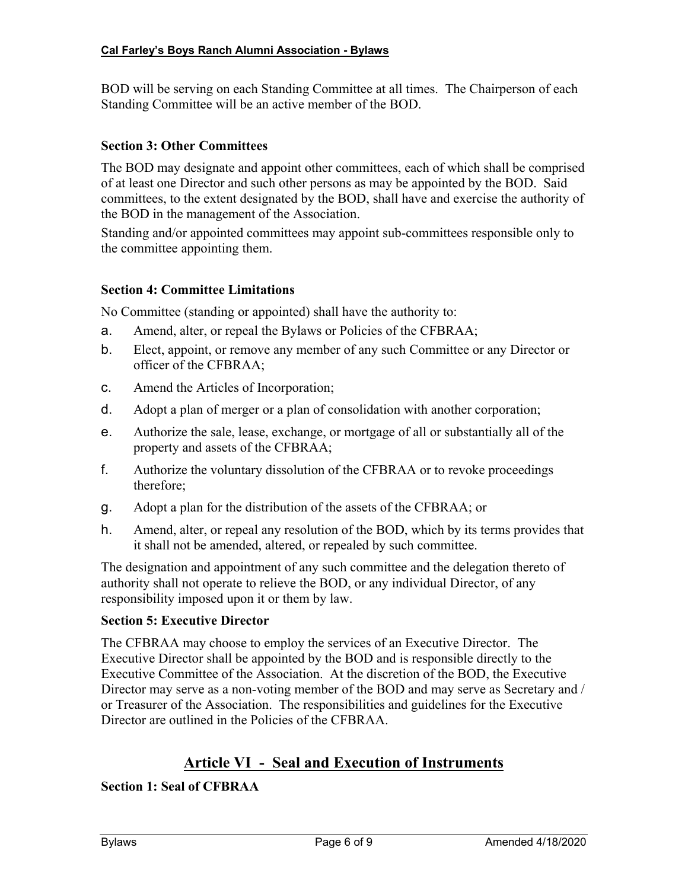BOD will be serving on each Standing Committee at all times. The Chairperson of each Standing Committee will be an active member of the BOD.

## **Section 3: Other Committees**

The BOD may designate and appoint other committees, each of which shall be comprised of at least one Director and such other persons as may be appointed by the BOD. Said committees, to the extent designated by the BOD, shall have and exercise the authority of the BOD in the management of the Association.

Standing and/or appointed committees may appoint sub-committees responsible only to the committee appointing them.

## **Section 4: Committee Limitations**

No Committee (standing or appointed) shall have the authority to:

- a. Amend, alter, or repeal the Bylaws or Policies of the CFBRAA;
- b. Elect, appoint, or remove any member of any such Committee or any Director or officer of the CFBRAA;
- c. Amend the Articles of Incorporation;
- d. Adopt a plan of merger or a plan of consolidation with another corporation;
- e. Authorize the sale, lease, exchange, or mortgage of all or substantially all of the property and assets of the CFBRAA;
- f. Authorize the voluntary dissolution of the CFBRAA or to revoke proceedings therefore;
- g. Adopt a plan for the distribution of the assets of the CFBRAA; or
- h. Amend, alter, or repeal any resolution of the BOD, which by its terms provides that it shall not be amended, altered, or repealed by such committee.

The designation and appointment of any such committee and the delegation thereto of authority shall not operate to relieve the BOD, or any individual Director, of any responsibility imposed upon it or them by law.

### **Section 5: Executive Director**

The CFBRAA may choose to employ the services of an Executive Director. The Executive Director shall be appointed by the BOD and is responsible directly to the Executive Committee of the Association. At the discretion of the BOD, the Executive Director may serve as a non-voting member of the BOD and may serve as Secretary and / or Treasurer of the Association. The responsibilities and guidelines for the Executive Director are outlined in the Policies of the CFBRAA.

## **Article VI - Seal and Execution of Instruments**

## **Section 1: Seal of CFBRAA**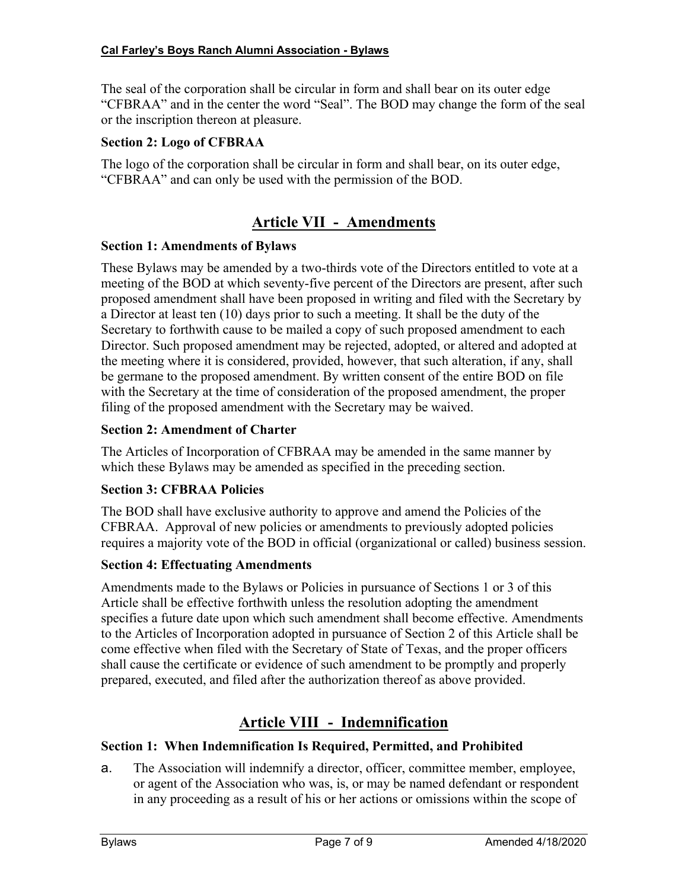The seal of the corporation shall be circular in form and shall bear on its outer edge "CFBRAA" and in the center the word "Seal". The BOD may change the form of the seal or the inscription thereon at pleasure.

## **Section 2: Logo of CFBRAA**

The logo of the corporation shall be circular in form and shall bear, on its outer edge, "CFBRAA" and can only be used with the permission of the BOD.

## **Article VII - Amendments**

## **Section 1: Amendments of Bylaws**

These Bylaws may be amended by a two-thirds vote of the Directors entitled to vote at a meeting of the BOD at which seventy-five percent of the Directors are present, after such proposed amendment shall have been proposed in writing and filed with the Secretary by a Director at least ten (10) days prior to such a meeting. It shall be the duty of the Secretary to forthwith cause to be mailed a copy of such proposed amendment to each Director. Such proposed amendment may be rejected, adopted, or altered and adopted at the meeting where it is considered, provided, however, that such alteration, if any, shall be germane to the proposed amendment. By written consent of the entire BOD on file with the Secretary at the time of consideration of the proposed amendment, the proper filing of the proposed amendment with the Secretary may be waived.

## **Section 2: Amendment of Charter**

The Articles of Incorporation of CFBRAA may be amended in the same manner by which these Bylaws may be amended as specified in the preceding section.

## **Section 3: CFBRAA Policies**

The BOD shall have exclusive authority to approve and amend the Policies of the CFBRAA. Approval of new policies or amendments to previously adopted policies requires a majority vote of the BOD in official (organizational or called) business session.

## **Section 4: Effectuating Amendments**

Amendments made to the Bylaws or Policies in pursuance of Sections 1 or 3 of this Article shall be effective forthwith unless the resolution adopting the amendment specifies a future date upon which such amendment shall become effective. Amendments to the Articles of Incorporation adopted in pursuance of Section 2 of this Article shall be come effective when filed with the Secretary of State of Texas, and the proper officers shall cause the certificate or evidence of such amendment to be promptly and properly prepared, executed, and filed after the authorization thereof as above provided.

# **Article VIII - Indemnification**

## **Section 1: When Indemnification Is Required, Permitted, and Prohibited**

a. The Association will indemnify a director, officer, committee member, employee, or agent of the Association who was, is, or may be named defendant or respondent in any proceeding as a result of his or her actions or omissions within the scope of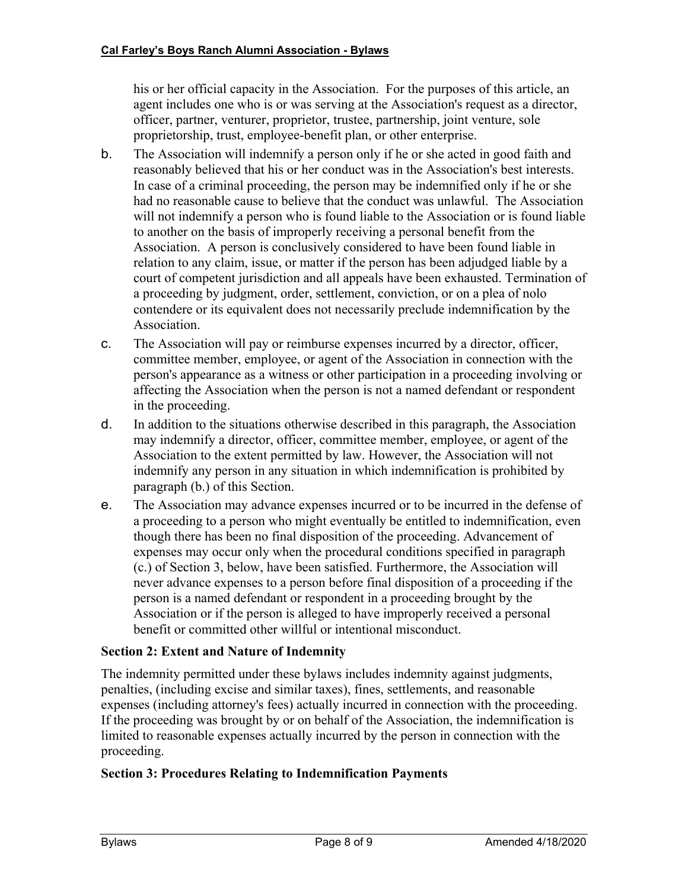his or her official capacity in the Association. For the purposes of this article, an agent includes one who is or was serving at the Association's request as a director, officer, partner, venturer, proprietor, trustee, partnership, joint venture, sole proprietorship, trust, employee-benefit plan, or other enterprise.

- b. The Association will indemnify a person only if he or she acted in good faith and reasonably believed that his or her conduct was in the Association's best interests. In case of a criminal proceeding, the person may be indemnified only if he or she had no reasonable cause to believe that the conduct was unlawful. The Association will not indemnify a person who is found liable to the Association or is found liable to another on the basis of improperly receiving a personal benefit from the Association. A person is conclusively considered to have been found liable in relation to any claim, issue, or matter if the person has been adjudged liable by a court of competent jurisdiction and all appeals have been exhausted. Termination of a proceeding by judgment, order, settlement, conviction, or on a plea of nolo contendere or its equivalent does not necessarily preclude indemnification by the Association.
- c. The Association will pay or reimburse expenses incurred by a director, officer, committee member, employee, or agent of the Association in connection with the person's appearance as a witness or other participation in a proceeding involving or affecting the Association when the person is not a named defendant or respondent in the proceeding.
- d. In addition to the situations otherwise described in this paragraph, the Association may indemnify a director, officer, committee member, employee, or agent of the Association to the extent permitted by law. However, the Association will not indemnify any person in any situation in which indemnification is prohibited by paragraph (b.) of this Section.
- e. The Association may advance expenses incurred or to be incurred in the defense of a proceeding to a person who might eventually be entitled to indemnification, even though there has been no final disposition of the proceeding. Advancement of expenses may occur only when the procedural conditions specified in paragraph (c.) of Section 3, below, have been satisfied. Furthermore, the Association will never advance expenses to a person before final disposition of a proceeding if the person is a named defendant or respondent in a proceeding brought by the Association or if the person is alleged to have improperly received a personal benefit or committed other willful or intentional misconduct.

## **Section 2: Extent and Nature of Indemnity**

The indemnity permitted under these bylaws includes indemnity against judgments, penalties, (including excise and similar taxes), fines, settlements, and reasonable expenses (including attorney's fees) actually incurred in connection with the proceeding. If the proceeding was brought by or on behalf of the Association, the indemnification is limited to reasonable expenses actually incurred by the person in connection with the proceeding.

## **Section 3: Procedures Relating to Indemnification Payments**